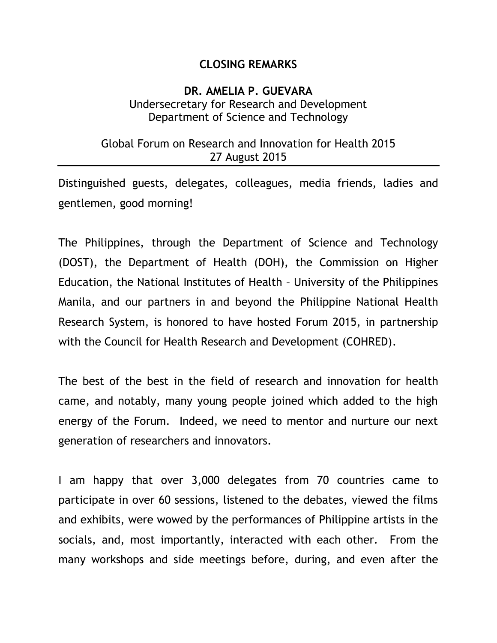## **CLOSING REMARKS**

## **DR. AMELIA P. GUEVARA** Undersecretary for Research and Development Department of Science and Technology

## Global Forum on Research and Innovation for Health 2015 27 August 2015

Distinguished guests, delegates, colleagues, media friends, ladies and gentlemen, good morning!

The Philippines, through the Department of Science and Technology (DOST), the Department of Health (DOH), the Commission on Higher Education, the National Institutes of Health – University of the Philippines Manila, and our partners in and beyond the Philippine National Health Research System, is honored to have hosted Forum 2015, in partnership with the Council for Health Research and Development (COHRED).

The best of the best in the field of research and innovation for health came, and notably, many young people joined which added to the high energy of the Forum. Indeed, we need to mentor and nurture our next generation of researchers and innovators.

I am happy that over 3,000 delegates from 70 countries came to participate in over 60 sessions, listened to the debates, viewed the films and exhibits, were wowed by the performances of Philippine artists in the socials, and, most importantly, interacted with each other. From the many workshops and side meetings before, during, and even after the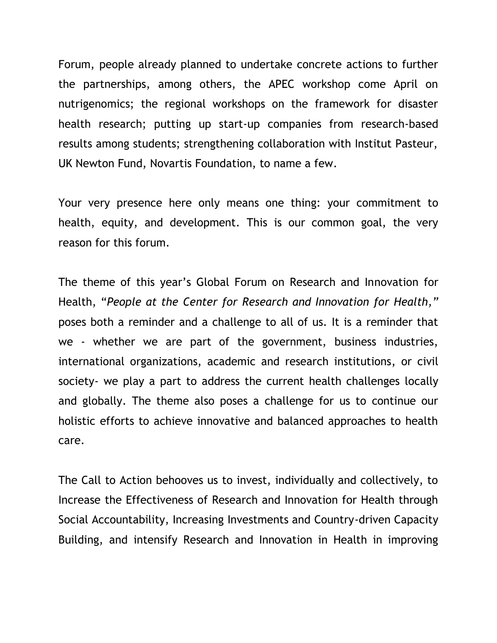Forum, people already planned to undertake concrete actions to further the partnerships, among others, the APEC workshop come April on nutrigenomics; the regional workshops on the framework for disaster health research; putting up start-up companies from research-based results among students; strengthening collaboration with Institut Pasteur, UK Newton Fund, Novartis Foundation, to name a few.

Your very presence here only means one thing: your commitment to health, equity, and development. This is our common goal, the very reason for this forum.

The theme of this year's Global Forum on Research and Innovation for Health, "*People at the Center for Research and Innovation for Health,"* poses both a reminder and a challenge to all of us. It is a reminder that we - whether we are part of the government, business industries, international organizations, academic and research institutions, or civil society- we play a part to address the current health challenges locally and globally. The theme also poses a challenge for us to continue our holistic efforts to achieve innovative and balanced approaches to health care.

The Call to Action behooves us to invest, individually and collectively, to Increase the Effectiveness of Research and Innovation for Health through Social Accountability, Increasing Investments and Country-driven Capacity Building, and intensify Research and Innovation in Health in improving